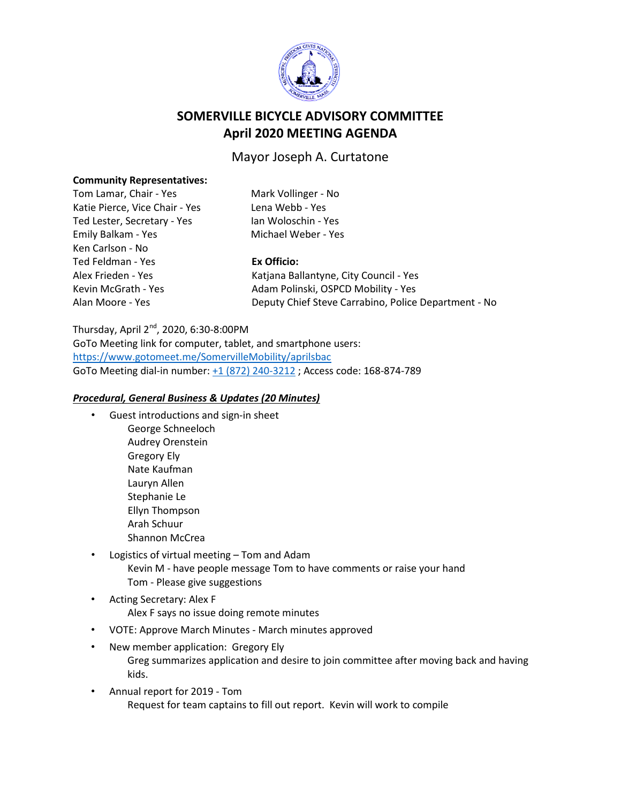

# **SOMERVILLE BICYCLE ADVISORY COMMITTEE April 2020 MEETING AGENDA**

## Mayor Joseph A. Curtatone

#### **Community Representatives:**

| Tom Lamar, Chair - Yes         |
|--------------------------------|
| Katie Pierce, Vice Chair - Ye: |
| Ted Lester, Secretary - Yes    |
| Emily Balkam - Yes             |
| Ken Carlson - No               |
| Ted Feldman - Yes              |
| Alex Frieden - Yes             |
| Kevin McGrath - Yes            |
| Alan Moore - Yes               |
|                                |

Mark Vollinger - No s Lena Webb - Yes Ian Woloschin - Yes Michael Weber - Yes

### **Ex Officio:**

Katjana Ballantyne, City Council - Yes Adam Polinski, OSPCD Mobility - Yes Deputy Chief Steve Carrabino, Police Department - No

### Thursday, April 2nd, 2020, 6:30-8:00PM

GoTo Meeting link for computer, tablet, and smartphone users: <https://www.gotomeet.me/SomervilleMobility/aprilsbac> GoTo Meeting dial-in number: +1 (872) 240-3212 ; Access code: 168-874-789

#### *Procedural, General Business & Updates (20 Minutes)*

- Guest introductions and sign-in sheet George Schneeloch Audrey Orenstein Gregory Ely Nate Kaufman Lauryn Allen Stephanie Le Ellyn Thompson Arah Schuur Shannon McCrea
- Logistics of virtual meeting Tom and Adam Kevin M - have people message Tom to have comments or raise your hand Tom - Please give suggestions
- Acting Secretary: Alex F Alex F says no issue doing remote minutes
- VOTE: Approve March Minutes March minutes approved
- New member application: Gregory Ely Greg summarizes application and desire to join committee after moving back and having kids.
- Annual report for 2019 Tom Request for team captains to fill out report. Kevin will work to compile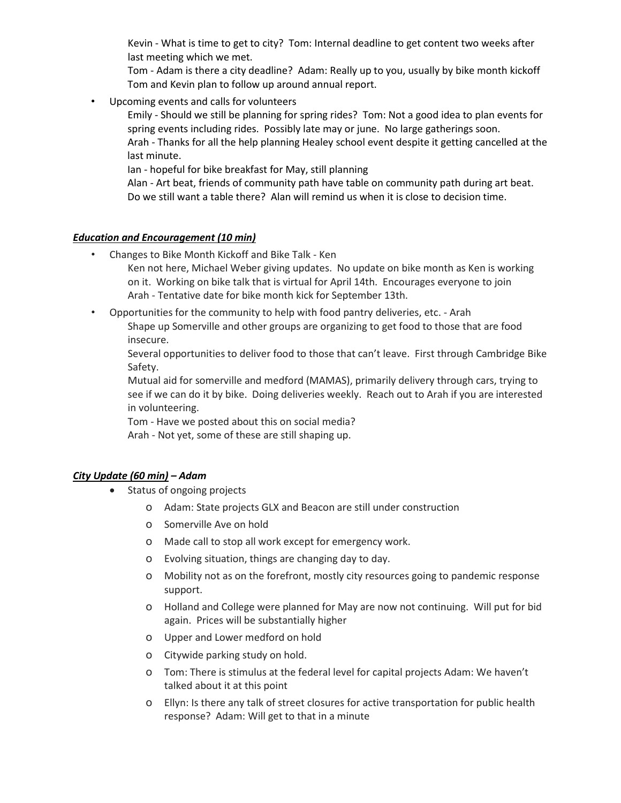Kevin - What is time to get to city? Tom: Internal deadline to get content two weeks after last meeting which we met.

Tom - Adam is there a city deadline? Adam: Really up to you, usually by bike month kickoff Tom and Kevin plan to follow up around annual report.

• Upcoming events and calls for volunteers

Emily - Should we still be planning for spring rides? Tom: Not a good idea to plan events for spring events including rides. Possibly late may or june. No large gatherings soon.

Arah - Thanks for all the help planning Healey school event despite it getting cancelled at the last minute.

Ian - hopeful for bike breakfast for May, still planning

Alan - Art beat, friends of community path have table on community path during art beat. Do we still want a table there? Alan will remind us when it is close to decision time.

### *Education and Encouragement (10 min)*

• Changes to Bike Month Kickoff and Bike Talk - Ken

Ken not here, Michael Weber giving updates. No update on bike month as Ken is working on it. Working on bike talk that is virtual for April 14th. Encourages everyone to join Arah - Tentative date for bike month kick for September 13th.

• Opportunities for the community to help with food pantry deliveries, etc. - Arah Shape up Somerville and other groups are organizing to get food to those that are food insecure.

Several opportunities to deliver food to those that can't leave. First through Cambridge Bike Safety.

Mutual aid for somerville and medford (MAMAS), primarily delivery through cars, trying to see if we can do it by bike. Doing deliveries weekly. Reach out to Arah if you are interested in volunteering.

Tom - Have we posted about this on social media?

Arah - Not yet, some of these are still shaping up.

### *City Update (60 min) – Adam*

- Status of ongoing projects
	- o Adam: State projects GLX and Beacon are still under construction
	- o Somerville Ave on hold
	- o Made call to stop all work except for emergency work.
	- o Evolving situation, things are changing day to day.
	- o Mobility not as on the forefront, mostly city resources going to pandemic response support.
	- o Holland and College were planned for May are now not continuing. Will put for bid again. Prices will be substantially higher
	- o Upper and Lower medford on hold
	- o Citywide parking study on hold.
	- o Tom: There is stimulus at the federal level for capital projects Adam: We haven't talked about it at this point
	- o Ellyn: Is there any talk of street closures for active transportation for public health response? Adam: Will get to that in a minute